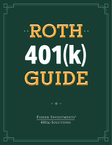# ·ROTH. 4011 GUIDE

FISHER INVESTMENTS® 401(k) SOLUTIONS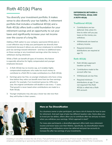# Roth 401(k) Plans

You diversify your investment portfolio. It makes sense to also diversify your tax liability. A retirement portfolio that includes a traditional 401(k) and a Roth 401(k) offers both a solid foundation for your retirement savings and an opportunity to cut your taxes and significantly increase your net income over the course of a long life.

Adding a Roth option to your company-sponsored 401(k) plan is a cost-effective way to help your participants tax diversify their investments because it allows you and your employees to contribute post-tax earnings toward retirement—and face no additional taxes on those savings or any investment earnings when the money is withdrawn during retirement.

While a Roth can benefit all types of investors, this feature is especially attractive for highly compensated and younger employees because:

- 1. A Roth 401(k) has no income cap, so it enables highly compensated employees who make too much money to contribute to a Roth IRA to make contributions to a Roth 401(k).
- 2. Earnings grow tax-free, so younger employees who have a long time before they retire can benefit more from tax-free earnings growth. For example, if an investment grows by 10% every year, the original contribution will double in size every ~7 years. That growth is never taxed when contributions are made to a Roth 401(k).
- 3. Younger employees may also pay a lower tax rate now than they will further in their careers.

### DIFFERENCES BETWEEN A TRADITIONAL 401(k) AND A ROTH 401(k)

### **Traditional 401(k)**

- Contributions are taxdeferred. Only when it's time to retire will you pay taxes on the money you withdraw.
- Withdrawals are taxed as ordinary income.
- Required minimum distributions are required at age 72.

### **Roth 401(k)**

- Roth 401(k)s approach taxation up front.
- Contributions made to the account after-tax.
- Withdrawals are tax-free.
- Required minimum distributions at age 72 are not required if the Roth 401(k) is rolled into a Roth IRA account.



### More on Tax Diversification

As a business owner or plan participant, you have a lot of choices for how to save for retirement. And each type of plan has different taxation rules. Some allow you to invest pre-tax dollars, others allow you to contribute after-tax and pay no taxes when you withdraw your earnings. Which approach is best?

For many plan participants, a diversified approach offers both more retirement income and lower taxes over their lifetime. Specifically, tax diversification means spreading your contributions across tax-deferred and post-tax accounts to increase the after-tax earnings of your investments.

Investing in securities involves the risk of loss. Past performance is no guarantee of future results. Intended for use by employers considering or sponsoring retirement plans; not for personal use by plan participants. ©2022 Fisher Investments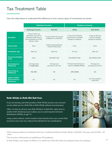# Tax Treatment Table

View the table below to understand the difference in how various types of investments are taxed.

|                                                                             | <b>Individual Accounts</b>                                                                                                  |                                                            | <b>Employer Accounts</b>                                                    |                                                                 |
|-----------------------------------------------------------------------------|-----------------------------------------------------------------------------------------------------------------------------|------------------------------------------------------------|-----------------------------------------------------------------------------|-----------------------------------------------------------------|
|                                                                             | <b>Brokerage Accounts</b>                                                                                                   | <b>Roth IRA</b>                                            | 401(k)                                                                      | <b>Roth 401(k)</b>                                              |
| <b>Description</b>                                                          | A type of after-tax<br>investment account for<br>individuals with none of<br>the tax benefits of an IRA,<br>401(k) or Roth. | A type of after-tax account<br>available to an individual. | A type of tax-deferred<br>account that is available<br>through an employer. | A type of after-tax<br>account available<br>though an employer. |
| <b>Income Limits</b>                                                        | None                                                                                                                        | \$144K Individual/\$214K<br>Married Filing Jointly         | None                                                                        | None                                                            |
| <b>Contribution Type</b>                                                    | After-Tax                                                                                                                   | After-Tax                                                  | Pre-Tax                                                                     | After-Tax                                                       |
| <b>Personal Contribution</b><br><b>Limits</b>                               | None                                                                                                                        | \$6,000/\$7,000                                            | \$20,500/\$27,000 <sup>1</sup>                                              | \$20,500/\$27,000 <sup>1</sup>                                  |
| <b>Tax Treatment at</b><br><b>Withdrawal</b>                                | Earnings taxed<br>as capital gains                                                                                          | Principal and<br>earnings are tax free <sup>2</sup>        | Principal and earnings are<br>taxed as ordinary income                      | Principal and<br>earnings are tax free <sup>2</sup>             |
| <b>Fed Tax Rate at</b><br><b>Withdrawal</b>                                 | 0%-20%                                                                                                                      | 0%                                                         | 10%-39.6%                                                                   | 0%                                                              |
| <b>Subject to RMDs</b><br><b>(Required Minimum</b><br><b>Distributions)</b> | <b>No</b>                                                                                                                   | <b>No</b>                                                  | Yes                                                                         | No, if converted to<br>a Roth $IRA3$                            |

### Roth 401(k) to Roth IRA Roll Over

If you are leaving a job that provides a Roth 401(k) account, your account can be rolled over to a Roth IRA or Roth 401(k) without incurring taxes.

Often, it's best to roll over your Roth 401(k) to a Roth IRA, rather than to another Roth 401(k) because it allows you to avoid required minimum distributions (RMDs) at age 72.

Using a direct rollover, which transfers funds directly from your current Roth account to your new one, reduces the potential for tax complications.



<sup>1</sup>2022 employee deferral contribution limit into a Traditional 401(k) and Roth 401(k) is \$20,500 <50 years and \$27,000 > 50 years.

<sup>2</sup>This assumes withdrawals are qualified per IRS guidelines.

<sup>3</sup>A Roth 401(k) is not subject to RMDs if it is rolled into a Roth IRA after the employee leaves the employer.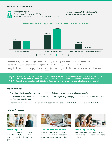### Roth 401(k) Case Study



### **Participant Age:** 30

**Contribution Period:** Ages 30-64 **Annual Contribution:** \$20.5k <50 years/\$27K >50 Years



### **100% Traditional 401(k) vs 100% Roth 401(k) Contributions Strategy**

Traditional 401(k) Tax Rate During Withdrawal Period (age 65-90): 24% ages 65-83. 32% ages 84-90.

Roth Tax Rate During Contribution Period (Age 30-64): 22% ages 30-52. 24% ages 53-64.

Note: A Roth strategy may not be best for all plan participants which is why it is important to hire a plan advisor that provides one-on-one guidance tailored to the needs of the plan participant.



### Key Takeaways

- A tax diversification strategy can be an impactful part of retirement planning for plan participants.
- Roth options within the 401(k) are often the only tax-advantaged way for highly compensated employees to save for tax-free retirement income.
- The most efficient way to enable a tax diversification strategy is to add a Roth 401(k) option to a traditional 401(k).

### Helpful Resources



**[Roth 401\(k\) FAQs](https://www.fisher401k.com/plan-options/roth-401k#roth-401k-video)**  Watch this video to get answers from a Fisher 401(k) Specialist to frequently asked Roth 401(k) questions.



**[Tax Diversity to Reduce Taxes](https://www.fisher401k.com/blog/tax-diversity)**  What plan participants need to know about tax diversification to reduce taxes and increase retirement income.



**[Roth 401\(k\) Case Study](https://www.fisher401k.com/sites/default/files/media_library/pdf/K022210MC.pdf)**  See how to leverage a Roth 401(k) to reduce taxes and increase retirement savings.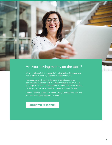

## Are you leaving money on the table?

When you look at all the money left on the table with an average plan, it's hard to see why anyone would settle for less.

Poor service, which leads to lower savings rates and lower performance, combined with high fees that take a big chunk out of your portfolio, result in less money at retirement. You've worked hard to get to this point. Now's not the time to settle for less.

Contact us today to see how Fisher 401(k) Solutions can help you and your employees create more wealth.

[REQUEST FREE CONSULTATION](https://www.fisher401k.com/contact)